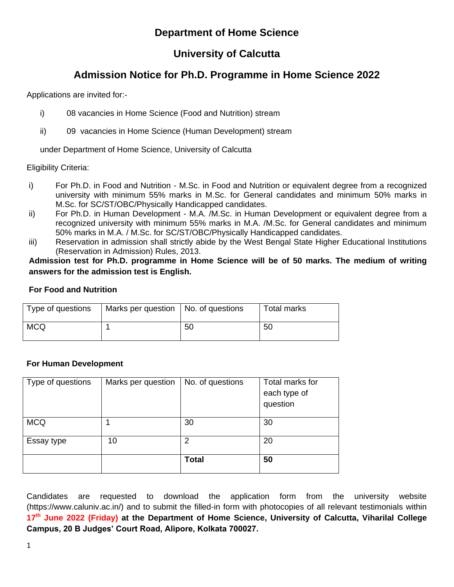# **Department of Home Science**

# **University of Calcutta**

# **Admission Notice for Ph.D. Programme in Home Science 2022**

Applications are invited for:-

- i) 08 vacancies in Home Science (Food and Nutrition) stream
- ii) 09 vacancies in Home Science (Human Development) stream

under Department of Home Science, University of Calcutta

Eligibility Criteria:

- i) For Ph.D. in Food and Nutrition M.Sc. in Food and Nutrition or equivalent degree from a recognized university with minimum 55% marks in M.Sc. for General candidates and minimum 50% marks in M.Sc. for SC/ST/OBC/Physically Handicapped candidates.
- ii) For Ph.D. in Human Development M.A. /M.Sc. in Human Development or equivalent degree from a recognized university with minimum 55% marks in M.A. /M.Sc. for General candidates and minimum 50% marks in M.A. / M.Sc. for SC/ST/OBC/Physically Handicapped candidates.
- iii) Reservation in admission shall strictly abide by the West Bengal State Higher Educational Institutions (Reservation in Admission) Rules, 2013.

**Admission test for Ph.D. programme in Home Science will be of 50 marks. The medium of writing answers for the admission test is English.**

#### **For Food and Nutrition**

| Type of questions | Marks per question   No. of questions |    | Total marks |
|-------------------|---------------------------------------|----|-------------|
| <b>MCQ</b>        |                                       | 50 | 50          |

## **For Human Development**

| Type of questions | Marks per question | No. of questions | Total marks for |
|-------------------|--------------------|------------------|-----------------|
|                   |                    |                  | each type of    |
|                   |                    |                  | question        |
|                   |                    |                  |                 |
| <b>MCQ</b>        |                    | 30               | 30              |
|                   |                    |                  |                 |
| Essay type        | 10                 | 2                | 20              |
|                   |                    |                  |                 |
|                   |                    | <b>Total</b>     | 50              |
|                   |                    |                  |                 |

Candidates are requested to download the application form from the university website (https://www.caluniv.ac.in/) and to submit the filled-in form with photocopies of all relevant testimonials within **17 th June 2022 (Friday) at the Department of Home Science, University of Calcutta, Viharilal College Campus, 20 B Judges' Court Road, Alipore, Kolkata 700027.**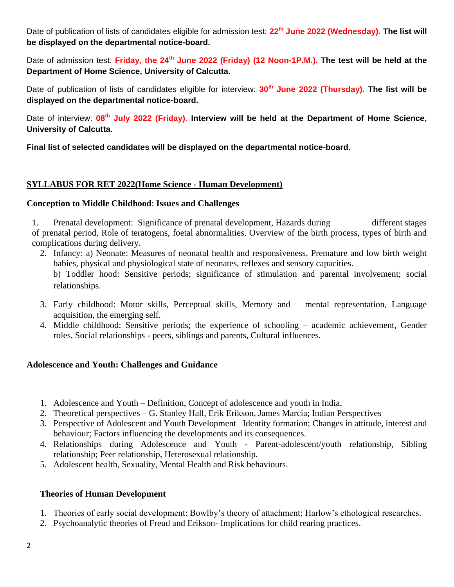Date of publication of lists of candidates eligible for admission test: **22 th June 2022 (Wednesday). The list will be displayed on the departmental notice-board.** 

Date of admission test: **Friday, the 24 th June 2022 (Friday) (12 Noon-1P.M.). The test will be held at the Department of Home Science, University of Calcutta.**

Date of publication of lists of candidates eligible for interview: **30th June 2022 (Thursday). The list will be displayed on the departmental notice-board.**

Date of interview: 08<sup>th</sup> July 2022 (Friday). Interview will be held at the Department of Home Science, **University of Calcutta.**

**Final list of selected candidates will be displayed on the departmental notice-board.**

## **SYLLABUS FOR RET 2022(Home Science - Human Development)**

#### **Conception to Middle Childhood**: **Issues and Challenges**

1. Prenatal development: Significance of prenatal development, Hazards during different stages of prenatal period, Role of teratogens, foetal abnormalities. Overview of the birth process, types of birth and complications during delivery.

2. Infancy: a) Neonate: Measures of neonatal health and responsiveness, Premature and low birth weight babies, physical and physiological state of neonates, reflexes and sensory capacities. b) Toddler hood: Sensitive periods; significance of stimulation and parental involvement; social

relationships.

- 3. Early childhood: Motor skills, Perceptual skills, Memory and mental representation, Language acquisition, the emerging self.
- 4. Middle childhood: Sensitive periods; the experience of schooling academic achievement, Gender roles, Social relationships - peers, siblings and parents, Cultural influences.

## **Adolescence and Youth: Challenges and Guidance**

- 1. Adolescence and Youth Definition, Concept of adolescence and youth in India.
- 2. Theoretical perspectives G. Stanley Hall, Erik Erikson, James Marcia; Indian Perspectives
- 3. Perspective of Adolescent and Youth Development –Identity formation; Changes in attitude, interest and behaviour; Factors influencing the developments and its consequences.
- 4. Relationships during Adolescence and Youth Parent-adolescent/youth relationship, Sibling relationship; Peer relationship, Heterosexual relationship.
- 5. Adolescent health, Sexuality, Mental Health and Risk behaviours.

## **Theories of Human Development**

- 1. Theories of early social development: Bowlby's theory of attachment; Harlow's ethological researches.
- 2. Psychoanalytic theories of Freud and Erikson- Implications for child rearing practices.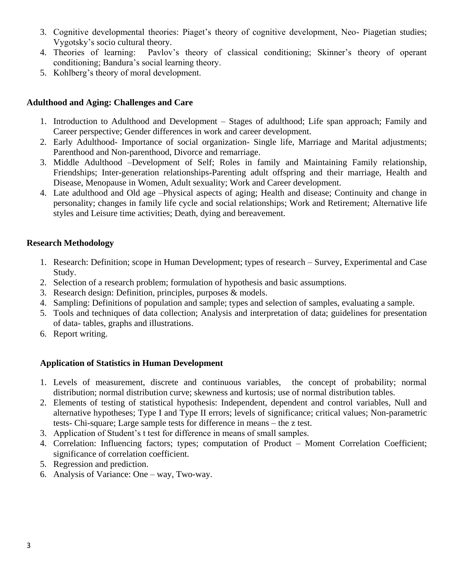- 3. Cognitive developmental theories: Piaget's theory of cognitive development, Neo- Piagetian studies; Vygotsky's socio cultural theory.
- 4. Theories of learning: Pavlov's theory of classical conditioning; Skinner's theory of operant conditioning; Bandura's social learning theory.
- 5. Kohlberg's theory of moral development.

## **Adulthood and Aging: Challenges and Care**

- 1. Introduction to Adulthood and Development Stages of adulthood; Life span approach; Family and Career perspective; Gender differences in work and career development.
- 2. Early Adulthood- Importance of social organization- Single life, Marriage and Marital adjustments; Parenthood and Non-parenthood, Divorce and remarriage.
- 3. Middle Adulthood –Development of Self; Roles in family and Maintaining Family relationship, Friendships; Inter-generation relationships-Parenting adult offspring and their marriage, Health and Disease, Menopause in Women, Adult sexuality; Work and Career development.
- 4. Late adulthood and Old age –Physical aspects of aging; Health and disease; Continuity and change in personality; changes in family life cycle and social relationships; Work and Retirement; Alternative life styles and Leisure time activities; Death, dying and bereavement.

## **Research Methodology**

- 1. Research: Definition; scope in Human Development; types of research Survey, Experimental and Case Study.
- 2. Selection of a research problem; formulation of hypothesis and basic assumptions.
- 3. Research design: Definition, principles, purposes & models.
- 4. Sampling: Definitions of population and sample; types and selection of samples, evaluating a sample.
- 5. Tools and techniques of data collection; Analysis and interpretation of data; guidelines for presentation of data- tables, graphs and illustrations.
- 6. Report writing.

## **Application of Statistics in Human Development**

- 1. Levels of measurement, discrete and continuous variables, the concept of probability; normal distribution; normal distribution curve; skewness and kurtosis; use of normal distribution tables.
- 2. Elements of testing of statistical hypothesis: Independent, dependent and control variables, Null and alternative hypotheses; Type I and Type II errors; levels of significance; critical values; Non-parametric tests- Chi-square; Large sample tests for difference in means – the z test.
- 3. Application of Student's t test for difference in means of small samples.
- 4. Correlation: Influencing factors; types; computation of Product Moment Correlation Coefficient; significance of correlation coefficient.
- 5. Regression and prediction.
- 6. Analysis of Variance: One way, Two-way.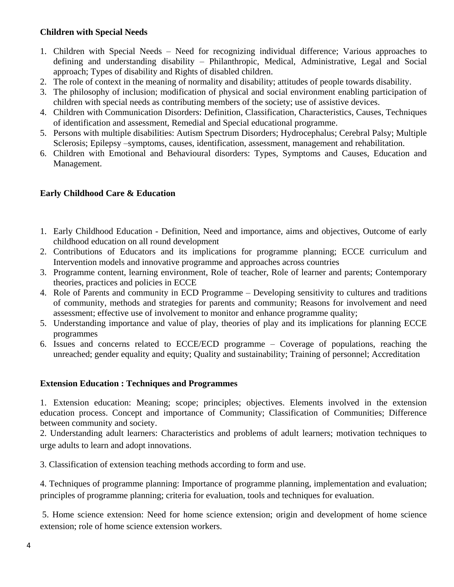## **Children with Special Needs**

- 1. Children with Special Needs Need for recognizing individual difference; Various approaches to defining and understanding disability – Philanthropic, Medical, Administrative, Legal and Social approach; Types of disability and Rights of disabled children.
- 2. The role of context in the meaning of normality and disability; attitudes of people towards disability.
- 3. The philosophy of inclusion; modification of physical and social environment enabling participation of children with special needs as contributing members of the society; use of assistive devices.
- 4. Children with Communication Disorders: Definition, Classification, Characteristics, Causes, Techniques of identification and assessment, Remedial and Special educational programme.
- 5. Persons with multiple disabilities: Autism Spectrum Disorders; Hydrocephalus; Cerebral Palsy; Multiple Sclerosis; Epilepsy –symptoms, causes, identification, assessment, management and rehabilitation.
- 6. Children with Emotional and Behavioural disorders: Types, Symptoms and Causes, Education and Management.

## **Early Childhood Care & Education**

- 1. Early Childhood Education Definition, Need and importance, aims and objectives, Outcome of early childhood education on all round development
- 2. Contributions of Educators and its implications for programme planning; ECCE curriculum and Intervention models and innovative programme and approaches across countries
- 3. Programme content, learning environment, Role of teacher, Role of learner and parents; Contemporary theories, practices and policies in ECCE
- 4. Role of Parents and community in ECD Programme Developing sensitivity to cultures and traditions of community, methods and strategies for parents and community; Reasons for involvement and need assessment; effective use of involvement to monitor and enhance programme quality;
- 5. Understanding importance and value of play, theories of play and its implications for planning ECCE programmes
- 6. Issues and concerns related to ECCE/ECD programme Coverage of populations, reaching the unreached; gender equality and equity; Quality and sustainability; Training of personnel; Accreditation

## **Extension Education : Techniques and Programmes**

1. Extension education: Meaning; scope; principles; objectives. Elements involved in the extension education process. Concept and importance of Community; Classification of Communities; Difference between community and society.

2. Understanding adult learners: Characteristics and problems of adult learners; motivation techniques to urge adults to learn and adopt innovations.

3. Classification of extension teaching methods according to form and use.

4. Techniques of programme planning: Importance of programme planning, implementation and evaluation; principles of programme planning; criteria for evaluation, tools and techniques for evaluation.

5. Home science extension: Need for home science extension; origin and development of home science extension; role of home science extension workers.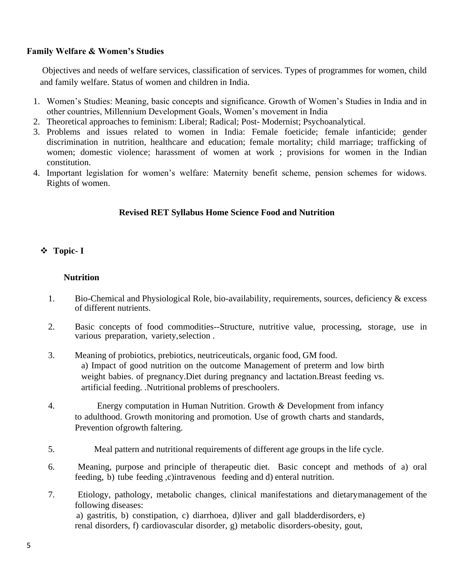#### **Family Welfare & Women's Studies**

Objectives and needs of welfare services, classification of services. Types of programmes for women, child and family welfare. Status of women and children in India.

- 1. Women's Studies: Meaning, basic concepts and significance. Growth of Women's Studies in India and in other countries, Millennium Development Goals, Women's movement in India
- 2. Theoretical approaches to feminism: Liberal; Radical; Post- Modernist; Psychoanalytical.
- 3. Problems and issues related to women in India: Female foeticide; female infanticide; gender discrimination in nutrition, healthcare and education; female mortality; child marriage; trafficking of women; domestic violence; harassment of women at work ; provisions for women in the Indian constitution.
- 4. Important legislation for women's welfare: Maternity benefit scheme, pension schemes for widows. Rights of women.

## **Revised RET Syllabus Home Science Food and Nutrition**

## **Topic- I**

## **Nutrition**

- 1. Bio-Chemical and Physiological Role, bio-availability, requirements, sources, deficiency & excess of different nutrients.
- 2. Basic concepts of food commodities--Structure, nutritive value, processing, storage, use in various preparation, variety, selection .
- 3. Meaning of probiotics, prebiotics, neutriceuticals, organic food, GM food. a) Impact of good nutrition on the outcome Management of preterm and low birth weight babies. of pregnancy.Diet during pregnancy and lactation.Breast feeding vs. artificial feeding. .Nutritional problems of preschoolers.
- 4. Energy computation in Human Nutrition. Growth *&* Development from infancy to adulthood. Growth monitoring and promotion. Use of growth charts and standards, Prevention ofgrowth faltering.
- 5. Meal pattern and nutritional requirements of different age groups in the life cycle.
- 6. Meaning, purpose and principle of therapeutic diet. Basic concept and methods of a) oral feeding, b) tube feeding ,c)intravenous feeding and d) enteral nutrition.
- 7. Etiology, pathology, metabolic changes, clinical manifestations and dietarymanagement of the following diseases: a) gastritis, b) constipation, c) diarrhoea, d)liver and gall bladderdisorders, e) renal disorders, f) cardiovascular disorder, g) metabolic disorders-obesity, gout,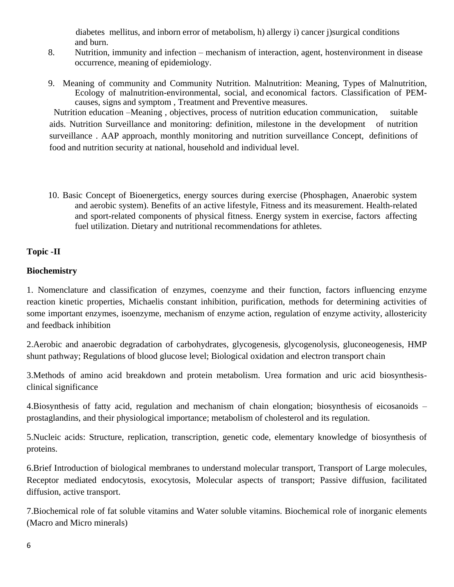diabetes mellitus, and inborn error of metabolism, h) allergy i) cancer j)surgical conditions and burn.

- 8. Nutrition, immunity and infection mechanism of interaction, agent, hostenvironment in disease occurrence, meaning of epidemiology.
- 9. Meaning of community and Community Nutrition. Malnutrition: Meaning, Types of Malnutrition, Ecology of malnutrition-environmental, social, and economical factors. Classification of PEMcauses, signs and symptom , Treatment and Preventive measures.

 Nutrition education –Meaning , objectives, process of nutrition education communication, suitable aids. Nutrition Surveillance and monitoring: definition, milestone in the development of nutrition surveillance . AAP approach, monthly monitoring and nutrition surveillance Concept, definitions of food and nutrition security at national, household and individual level.

10. Basic Concept of Bioenergetics, energy sources during exercise (Phosphagen, Anaerobic system and aerobic system). Benefits of an active lifestyle, Fitness and its measurement. Health-related and sport-related components of physical fitness. Energy system in exercise, factors affecting fuel utilization. Dietary and nutritional recommendations for athletes.

## **Topic -II**

# **Biochemistry**

1. Nomenclature and classification of enzymes, coenzyme and their function, factors influencing enzyme reaction kinetic properties, Michaelis constant inhibition, purification, methods for determining activities of some important enzymes, isoenzyme, mechanism of enzyme action, regulation of enzyme activity, allostericity and feedback inhibition

2.Aerobic and anaerobic degradation of carbohydrates, glycogenesis, glycogenolysis, gluconeogenesis, HMP shunt pathway; Regulations of blood glucose level; Biological oxidation and electron transport chain

3.Methods of amino acid breakdown and protein metabolism. Urea formation and uric acid biosynthesisclinical significance

4.Biosynthesis of fatty acid, regulation and mechanism of chain elongation; biosynthesis of eicosanoids – prostaglandins, and their physiological importance; metabolism of cholesterol and its regulation.

5.Nucleic acids: Structure, replication, transcription, genetic code, elementary knowledge of biosynthesis of proteins.

6.Brief Introduction of biological membranes to understand molecular transport, Transport of Large molecules, Receptor mediated endocytosis, exocytosis, Molecular aspects of transport; Passive diffusion, facilitated diffusion, active transport.

7.Biochemical role of fat soluble vitamins and Water soluble vitamins. Biochemical role of inorganic elements (Macro and Micro minerals)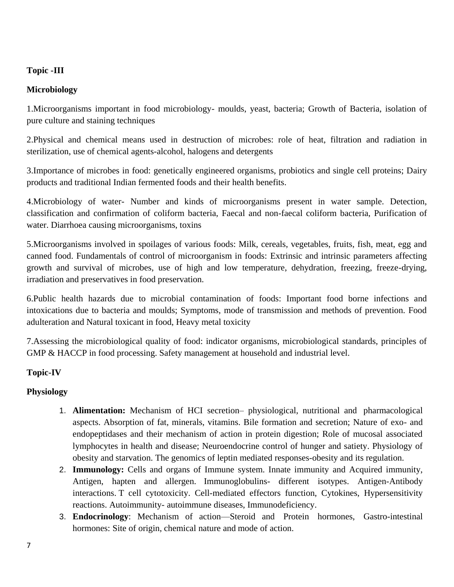## **Topic -III**

## **Microbiology**

1.Microorganisms important in food microbiology- moulds, yeast, bacteria; Growth of Bacteria, isolation of pure culture and staining techniques

2.Physical and chemical means used in destruction of microbes: role of heat, filtration and radiation in sterilization, use of chemical agents-alcohol, halogens and detergents

3.Importance of microbes in food: genetically engineered organisms, probiotics and single cell proteins; Dairy products and traditional Indian fermented foods and their health benefits.

4.Microbiology of water- Number and kinds of microorganisms present in water sample. Detection, classification and confirmation of coliform bacteria, Faecal and non-faecal coliform bacteria, Purification of water. Diarrhoea causing microorganisms, toxins

5.Microorganisms involved in spoilages of various foods: Milk, cereals, vegetables, fruits, fish, meat, egg and canned food. Fundamentals of control of microorganism in foods: Extrinsic and intrinsic parameters affecting growth and survival of microbes, use of high and low temperature, dehydration, freezing, freeze-drying, irradiation and preservatives in food preservation.

6.Public health hazards due to microbial contamination of foods: Important food borne infections and intoxications due to bacteria and moulds; Symptoms, mode of transmission and methods of prevention. Food adulteration and Natural toxicant in food, Heavy metal toxicity

7.Assessing the microbiological quality of food: indicator organisms, microbiological standards, principles of GMP & HACCP in food processing. Safety management at household and industrial level.

#### **Topic-IV**

#### **Physiology**

- 1. **Alimentation:** Mechanism of HCI secretion– physiological, nutritional and pharmacological aspects. Absorption of fat, minerals, vitamins. Bile formation and secretion; Nature of exo- and endopeptidases and their mechanism of action in protein digestion; Role of mucosal associated lymphocytes in health and disease; Neuroendocrine control of hunger and satiety. Physiology of obesity and starvation. The genomics of leptin mediated responses-obesity and its regulation.
- 2. **Immunology:** Cells and organs of Immune system. Innate immunity and Acquired immunity, Antigen, hapten and allergen. Immunoglobulins- different isotypes. Antigen-Antibody interactions. T cell cytotoxicity. Cell-mediated effectors function, Cytokines, Hypersensitivity reactions. Autoimmunity- autoimmune diseases, Immunodeficiency.
- 3. **Endocrinology**: Mechanism of action—Steroid and Protein hormones, Gastro-intestinal hormones: Site of origin, chemical nature and mode of action.